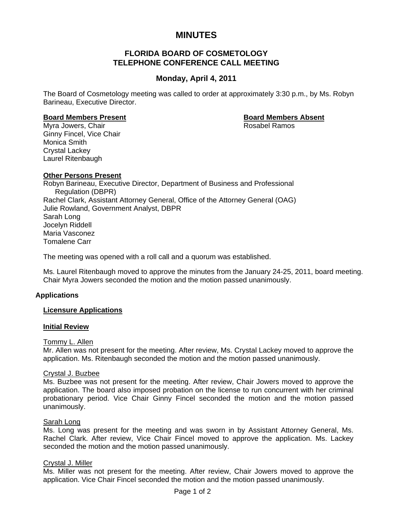# **MINUTES**

# **FLORIDA BOARD OF COSMETOLOGY TELEPHONE CONFERENCE CALL MEETING**

# **Monday, April 4, 2011**

The Board of Cosmetology meeting was called to order at approximately 3:30 p.m., by Ms. Robyn Barineau, Executive Director.

### **Board Members Present Community Community Board Members Absent**

Myra Jowers, Chair **Rosabel Ramos Rosabel Ramos** Ginny Fincel, Vice Chair Monica Smith Crystal Lackey Laurel Ritenbaugh

# **Other Persons Present**

Robyn Barineau, Executive Director, Department of Business and Professional Regulation (DBPR) Rachel Clark, Assistant Attorney General, Office of the Attorney General (OAG) Julie Rowland, Government Analyst, DBPR Sarah Long Jocelyn Riddell Maria Vasconez Tomalene Carr

The meeting was opened with a roll call and a quorum was established.

Ms. Laurel Ritenbaugh moved to approve the minutes from the January 24-25, 2011, board meeting. Chair Myra Jowers seconded the motion and the motion passed unanimously.

# **Applications**

# **Licensure Applications**

### **Initial Review**

# Tommy L. Allen

Mr. Allen was not present for the meeting. After review, Ms. Crystal Lackey moved to approve the application. Ms. Ritenbaugh seconded the motion and the motion passed unanimously.

### Crystal J. Buzbee

Ms. Buzbee was not present for the meeting. After review, Chair Jowers moved to approve the application. The board also imposed probation on the license to run concurrent with her criminal probationary period. Vice Chair Ginny Fincel seconded the motion and the motion passed unanimously.

### Sarah Long

Ms. Long was present for the meeting and was sworn in by Assistant Attorney General, Ms. Rachel Clark. After review, Vice Chair Fincel moved to approve the application. Ms. Lackey seconded the motion and the motion passed unanimously.

### Crystal J. Miller

Ms. Miller was not present for the meeting. After review, Chair Jowers moved to approve the application. Vice Chair Fincel seconded the motion and the motion passed unanimously.